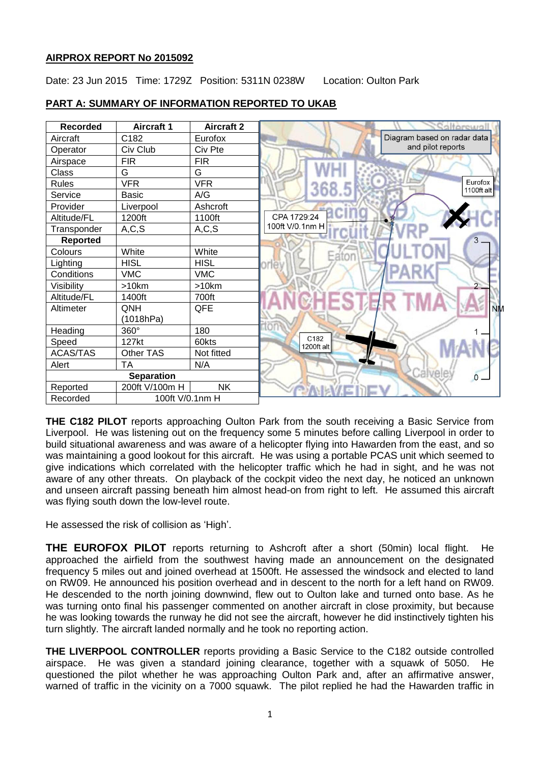## **AIRPROX REPORT No 2015092**

Date: 23 Jun 2015 Time: 1729Z Position: 5311N 0238W Location: Oulton Park



# **PART A: SUMMARY OF INFORMATION REPORTED TO UKAB**

**THE C182 PILOT** reports approaching Oulton Park from the south receiving a Basic Service from Liverpool. He was listening out on the frequency some 5 minutes before calling Liverpool in order to build situational awareness and was aware of a helicopter flying into Hawarden from the east, and so was maintaining a good lookout for this aircraft. He was using a portable PCAS unit which seemed to give indications which correlated with the helicopter traffic which he had in sight, and he was not aware of any other threats. On playback of the cockpit video the next day, he noticed an unknown and unseen aircraft passing beneath him almost head-on from right to left. He assumed this aircraft was flying south down the low-level route.

He assessed the risk of collision as 'High'.

**THE EUROFOX PILOT** reports returning to Ashcroft after a short (50min) local flight. He approached the airfield from the southwest having made an announcement on the designated frequency 5 miles out and joined overhead at 1500ft. He assessed the windsock and elected to land on RW09. He announced his position overhead and in descent to the north for a left hand on RW09. He descended to the north joining downwind, flew out to Oulton lake and turned onto base. As he was turning onto final his passenger commented on another aircraft in close proximity, but because he was looking towards the runway he did not see the aircraft, however he did instinctively tighten his turn slightly. The aircraft landed normally and he took no reporting action.

**THE LIVERPOOL CONTROLLER** reports providing a Basic Service to the C182 outside controlled airspace. He was given a standard joining clearance, together with a squawk of 5050. He questioned the pilot whether he was approaching Oulton Park and, after an affirmative answer, warned of traffic in the vicinity on a 7000 squawk. The pilot replied he had the Hawarden traffic in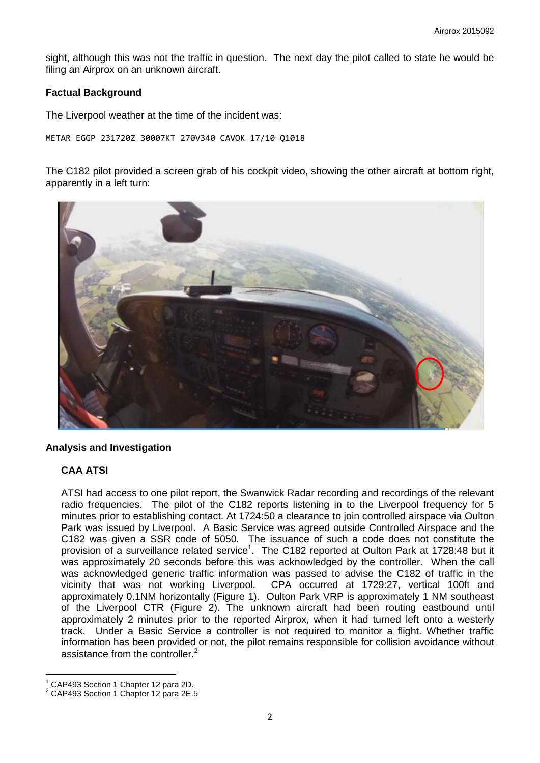sight, although this was not the traffic in question. The next day the pilot called to state he would be filing an Airprox on an unknown aircraft.

#### **Factual Background**

The Liverpool weather at the time of the incident was:

METAR EGGP 231720Z 30007KT 270V340 CAVOK 17/10 Q1018

The C182 pilot provided a screen grab of his cockpit video, showing the other aircraft at bottom right, apparently in a left turn:



#### **Analysis and Investigation**

### **CAA ATSI**

ATSI had access to one pilot report, the Swanwick Radar recording and recordings of the relevant radio frequencies. The pilot of the C182 reports listening in to the Liverpool frequency for 5 minutes prior to establishing contact. At 1724:50 a clearance to join controlled airspace via Oulton Park was issued by Liverpool. A Basic Service was agreed outside Controlled Airspace and the C182 was given a SSR code of 5050. The issuance of such a code does not constitute the provision of a surveillance related service<sup>1</sup>. The C182 reported at Oulton Park at 1728:48 but it was approximately 20 seconds before this was acknowledged by the controller. When the call was acknowledged generic traffic information was passed to advise the C182 of traffic in the vicinity that was not working Liverpool. CPA occurred at 1729:27, vertical 100ft and approximately 0.1NM horizontally (Figure 1). Oulton Park VRP is approximately 1 NM southeast of the Liverpool CTR (Figure 2). The unknown aircraft had been routing eastbound until approximately 2 minutes prior to the reported Airprox, when it had turned left onto a westerly track. Under a Basic Service a controller is not required to monitor a flight. Whether traffic information has been provided or not, the pilot remains responsible for collision avoidance without assistance from the controller.<sup>2</sup>

 $\overline{a}$ 

<sup>1</sup> CAP493 Section 1 Chapter 12 para 2D.

<sup>2</sup> CAP493 Section 1 Chapter 12 para 2E.5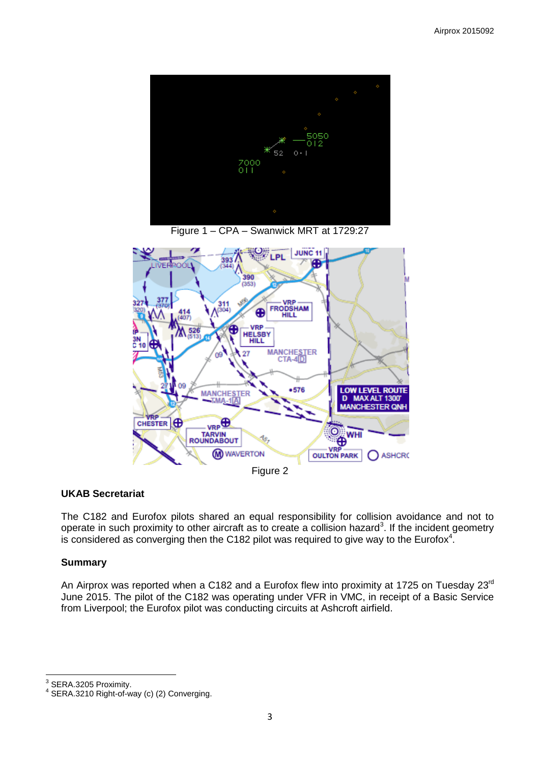

Figure 1 – CPA – Swanwick MRT at 1729:27



### **UKAB Secretariat**

The C182 and Eurofox pilots shared an equal responsibility for collision avoidance and not to operate in such proximity to other aircraft as to create a collision hazard<sup>3</sup>. If the incident geometry is considered as converging then the C182 pilot was required to give way to the Eurofox<sup>4</sup>.

#### **Summary**

An Airprox was reported when a C182 and a Eurofox flew into proximity at 1725 on Tuesday 23<sup>rd</sup> June 2015. The pilot of the C182 was operating under VFR in VMC, in receipt of a Basic Service from Liverpool; the Eurofox pilot was conducting circuits at Ashcroft airfield.

3 SERA.3205 Proximity.

<sup>4</sup> SERA.3210 Right-of-way (c) (2) Converging.